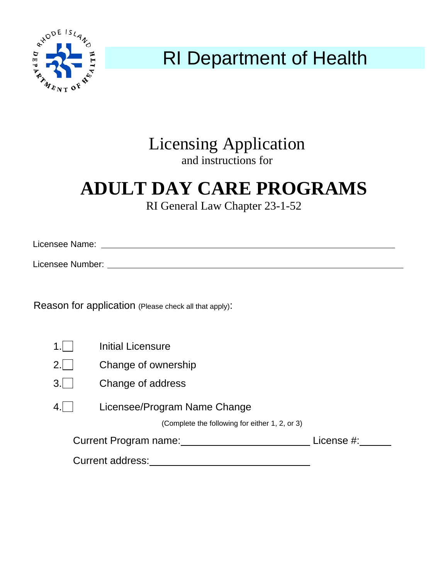

# RI Department of Health

### Licensing Application and instructions for

## **ADULT DAY CARE PROGRAMS**

RI General Law Chapter 23-1-52

| Licensee Name:   |  |  |  |
|------------------|--|--|--|
|                  |  |  |  |
| Licensee Number: |  |  |  |

Reason for application (Please check all that apply):

| 1.I              | <b>Initial Licensure</b>                       |  |
|------------------|------------------------------------------------|--|
| 2.1              | Change of ownership                            |  |
| 3.1              | Change of address                              |  |
| 4                | Licensee/Program Name Change                   |  |
|                  | (Complete the following for either 1, 2, or 3) |  |
|                  | <b>Current Program name:</b><br>License #:     |  |
| Current address: |                                                |  |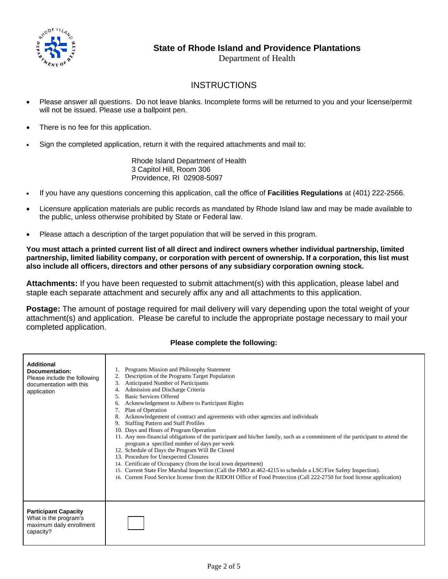

Department of Health

#### **INSTRUCTIONS**

- Please answer all questions. Do not leave blanks. Incomplete forms will be returned to you and your license/permit will not be issued. Please use a ballpoint pen.
- There is no fee for this application.
- Sign the completed application, return it with the required attachments and mail to:

 Rhode Island Department of Health 3 Capitol Hill, Room 306 Providence, RI 02908-5097

- If you have any questions concerning this application, call the office of **Facilities Regulations** at (401) 222-2566.
- Licensure application materials are public records as mandated by Rhode Island law and may be made available to the public, unless otherwise prohibited by State or Federal law.
- Please attach a description of the target population that will be served in this program.

**You must attach a printed current list of all direct and indirect owners whether individual partnership, limited partnership, limited liability company, or corporation with percent of ownership. If a corporation, this list must also include all officers, directors and other persons of any subsidiary corporation owning stock.** 

**Attachments:** If you have been requested to submit attachment(s) with this application, please label and staple each separate attachment and securely affix any and all attachments to this application.

**Postage:** The amount of postage required for mail delivery will vary depending upon the total weight of your attachment(s) and application. Please be careful to include the appropriate postage necessary to mail your completed application.

#### **Please complete the following:**

| <b>Additional</b><br>Documentation:<br>Please include the following<br>documentation with this<br>application | Programs Mission and Philosophy Statement<br>Description of the Programs Target Population<br>2.<br>Anticipated Number of Participants<br>3.<br>Admission and Discharge Criteria<br><b>Basic Services Offered</b><br>Acknowledgement to Adhere to Participant Rights<br>6.<br>Plan of Operation<br>7.<br>Acknowledgement of contract and agreements with other agencies and individuals<br><b>Staffing Pattern and Staff Profiles</b><br>9.<br>10. Days and Hours of Program Operation<br>11. Any non-financial obligations of the participant and his/her family, such as a commitment of the participant to attend the<br>program a specified number of days per week<br>12. Schedule of Days the Program Will Be Closed<br>13. Procedure for Unexpected Closures<br>Certificate of Occupancy (from the local town department)<br>14.<br>Current State Fire Marshal Inspection (Call the FMO at 462-4215 to schedule a LSC/Fire Safety Inspection).<br>15.<br>Current Food Service license from the RIDOH Office of Food Protection (Call 222-2750 for food license application)<br>16. |
|---------------------------------------------------------------------------------------------------------------|-------------------------------------------------------------------------------------------------------------------------------------------------------------------------------------------------------------------------------------------------------------------------------------------------------------------------------------------------------------------------------------------------------------------------------------------------------------------------------------------------------------------------------------------------------------------------------------------------------------------------------------------------------------------------------------------------------------------------------------------------------------------------------------------------------------------------------------------------------------------------------------------------------------------------------------------------------------------------------------------------------------------------------------------------------------------------------------------|
| <b>Participant Capacity</b><br>What is the program's<br>maximum daily enrollment<br>capacity?                 |                                                                                                                                                                                                                                                                                                                                                                                                                                                                                                                                                                                                                                                                                                                                                                                                                                                                                                                                                                                                                                                                                           |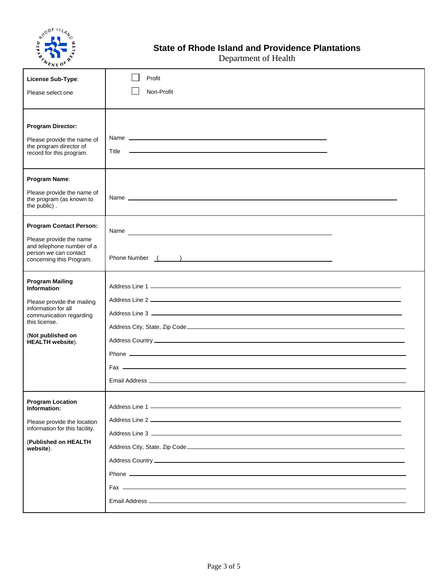

Department of Health

| $\sim$ NT $\sim$                                                                                              |                                                                                                                                                                                                                                |  |
|---------------------------------------------------------------------------------------------------------------|--------------------------------------------------------------------------------------------------------------------------------------------------------------------------------------------------------------------------------|--|
| License Sub-Type:                                                                                             | Profit                                                                                                                                                                                                                         |  |
| Please select one                                                                                             | Non-Profit                                                                                                                                                                                                                     |  |
| <b>Program Director:</b><br>Please provide the name of<br>the program director of<br>record for this program. |                                                                                                                                                                                                                                |  |
| Program Name:                                                                                                 |                                                                                                                                                                                                                                |  |
| Please provide the name of<br>the program (as known to<br>the public).                                        |                                                                                                                                                                                                                                |  |
| <b>Program Contact Person:</b>                                                                                | Name experience and the second contract of the second contract of the second contract of the second contract of the second contract of the second contract of the second contract of the second contract of the second contrac |  |
| Please provide the name<br>and telephone number of a<br>person we can contact<br>concerning this Program.     |                                                                                                                                                                                                                                |  |
| <b>Program Mailing</b><br>Information:                                                                        |                                                                                                                                                                                                                                |  |
| Please provide the mailing<br>information for all                                                             |                                                                                                                                                                                                                                |  |
| communication regarding<br>this license.                                                                      |                                                                                                                                                                                                                                |  |
| (Not published on<br><b>HEALTH</b> website).                                                                  |                                                                                                                                                                                                                                |  |
|                                                                                                               |                                                                                                                                                                                                                                |  |
|                                                                                                               |                                                                                                                                                                                                                                |  |
| <b>Program Location</b><br>Information:                                                                       |                                                                                                                                                                                                                                |  |
| Please provide the location                                                                                   |                                                                                                                                                                                                                                |  |
| information for this facility.<br>(Published on HEALTH                                                        |                                                                                                                                                                                                                                |  |
| website).                                                                                                     |                                                                                                                                                                                                                                |  |
|                                                                                                               |                                                                                                                                                                                                                                |  |
|                                                                                                               |                                                                                                                                                                                                                                |  |
|                                                                                                               |                                                                                                                                                                                                                                |  |
|                                                                                                               |                                                                                                                                                                                                                                |  |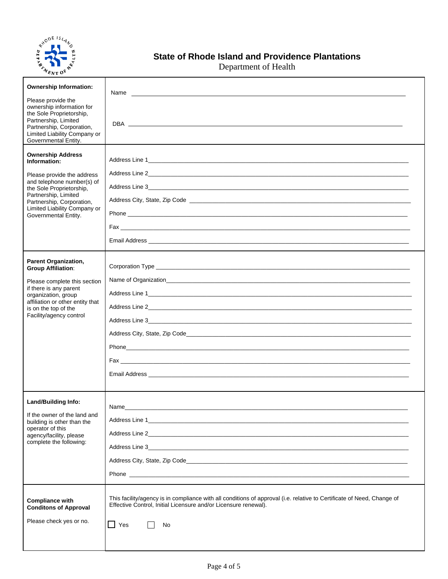

### **State of Rhode Island and Providence Plantations**

Department of Health

| <b>Ownership Information:</b><br>Please provide the<br>ownership information for<br>the Sole Proprietorship,<br>Partnership, Limited<br>Partnership, Corporation,<br>Limited Liability Company or<br>Governmental Entity.                     | Name experience and the second contract of the second contract of the second contract of the second contract of the second contract of the second contract of the second contract of the second contract of the second contrac         |
|-----------------------------------------------------------------------------------------------------------------------------------------------------------------------------------------------------------------------------------------------|----------------------------------------------------------------------------------------------------------------------------------------------------------------------------------------------------------------------------------------|
| <b>Ownership Address</b><br>Information:<br>Please provide the address<br>and telephone number(s) of<br>the Sole Proprietorship,<br>Partnership, Limited<br>Partnership, Corporation,<br>Limited Liability Company or<br>Governmental Entity. |                                                                                                                                                                                                                                        |
| <b>Parent Organization,</b><br><b>Group Affiliation:</b><br>Please complete this section<br>if there is any parent<br>organization, group<br>affiliation or other entity that<br>is on the top of the<br>Facility/agency control              |                                                                                                                                                                                                                                        |
| <b>Land/Building Info:</b><br>If the owner of the land and<br>building is other than the<br>operator of this<br>agency/facility, please<br>complete the following:                                                                            | Name<br>Address Line 1 and the contract of the contract of the contract of the contract of the contract of the contract of the contract of the contract of the contract of the contract of the contract of the contract of the contrac |
| <b>Compliance with</b><br><b>Conditons of Approval</b><br>Please check yes or no.                                                                                                                                                             | This facility/agency is in compliance with all conditions of approval (i.e. relative to Certificate of Need, Change of<br>Effective Control, Initial Licensure and/or Licensure renewal).<br>Yes<br>No                                 |